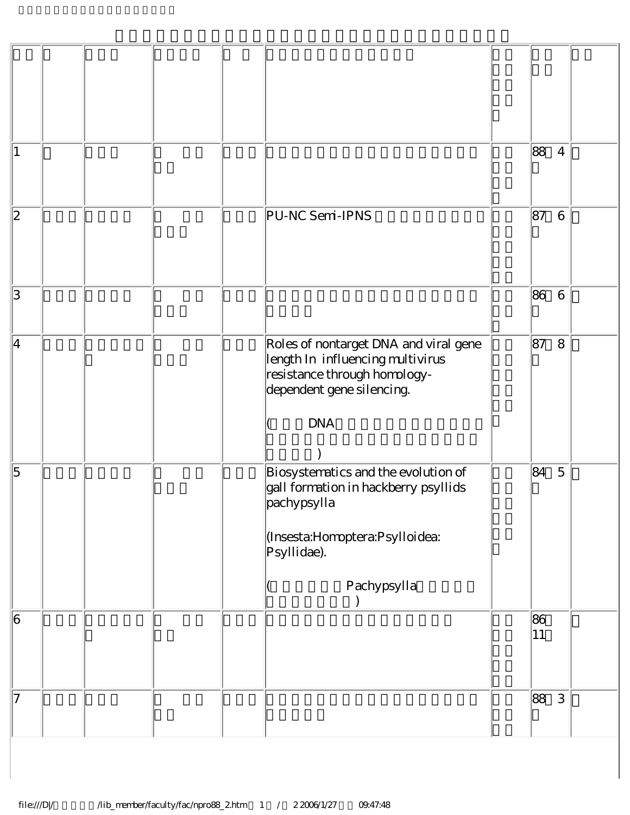| 1              |  |  |                                                                                                                                                            | 88        | $\overline{4}$  |  |
|----------------|--|--|------------------------------------------------------------------------------------------------------------------------------------------------------------|-----------|-----------------|--|
| 2              |  |  | PU-NC Semi-IPNS                                                                                                                                            | 87        | $\,6$           |  |
| 3              |  |  |                                                                                                                                                            | 86        | $6\phantom{.}6$ |  |
| 4              |  |  | Roles of nontarget DNA and viral gene<br>length In influencing multivirus<br>resistance through homology-<br>dependent gene silencing.<br><b>DNA</b>       | 87        | 8               |  |
| $\overline{5}$ |  |  | Biosystematics and the evolution of<br>gall formation in hackberry psyllids<br>pachypsylla<br>(Insesta:Homoptera:Psylloidea:<br>Psyllidae).<br>Pachypsylla | 84        | $\mathbf 5$     |  |
| 6              |  |  |                                                                                                                                                            | 86<br> 11 |                 |  |
| 17             |  |  |                                                                                                                                                            | 88        | 3               |  |